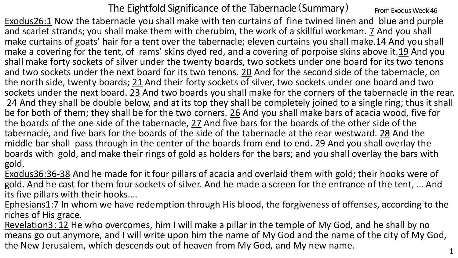The Eightfold Significance of the Tabernacle  $(Summary)$  From Exodus Week 46

Exodus26:1 Now the tabernacle you shall make with ten curtains of fine twined linen and blue and purple and scarlet strands; you shall make them with cherubim, the work of a skillful workman. 7 And you shall make curtains of goats' hair for a tent over the tabernacle; eleven curtains you shall make.14 And you shall make a covering for the tent, of rams' skins dyed red, and a covering of porpoise skins above it.19 And you shall make forty sockets of silver under the twenty boards, two sockets under one board for its two tenons and two sockets under the next board for its two tenons. 20 And for the second side of the tabernacle, on the north side, twenty boards; 21 And their forty sockets of silver, two sockets under one board and two sockets under the next board. 23 And two boards you shall make for the corners of the tabernacle in the rear. 24 And they shall be double below, and at its top they shall be completely joined to a single ring; thus it shall be for both of them; they shall be for the two corners. 26 And you shall make bars of acacia wood, five for the boards of the one side of the tabernacle, 27 And five bars for the boards of the other side of the tabernacle, and five bars for the boards of the side of the tabernacle at the rear westward. 28 And the middle bar shall pass through in the center of the boards from end to end. 29 And you shall overlay the boards with gold, and make their rings of gold as holders for the bars; and you shall overlay the bars with gold.

Exodus36:36-38 And he made for it four pillars of acacia and overlaid them with gold; their hooks were of gold. And he cast for them four sockets of silver. And he made a screen for the entrance of the tent, … And its five pillars with their hooks.…

Ephesians1:7 In whom we have redemption through His blood, the forgiveness of offenses, according to the riches of His grace.

Revelation3:12 He who overcomes, him I will make a pillar in the temple of My God, and he shall by no means go out anymore, and I will write upon him the name of My God and the name of the city of My God, the New Jerusalem, which descends out of heaven from My God, and My new name.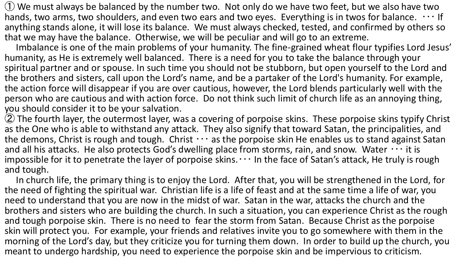$(1)$  We must always be balanced by the number two. Not only do we have two feet, but we also have two hands, two arms, two shoulders, and even two ears and two eyes. Everything is in twos for balance.  $\cdots$  If anything stands alone, it will lose its balance. We must always checked, tested, and confirmed by others so that we may have the balance. Otherwise, we will be peculiar and will go to an extreme.

Imbalance is one of the main problems of your humanity. The fine-grained wheat flour typifies Lord Jesus' humanity, as He is extremely well balanced. There is a need for you to take the balance through your spiritual partner and or spouse. In such time you should not be stubborn, but open yourself to the Lord and the brothers and sisters, call upon the Lord's name, and be a partaker of the Lord's humanity. For example, the action force will disappear if you are over cautious, however, the Lord blends particularly well with the person who are cautious and with action force. Do not think such limit of church life as an annoying thing, you should consider it to be your salvation.

② The fourth layer, the outermost layer, was a covering of porpoise skins. These porpoise skins typify Christ as the One who is able to withstand any attack. They also signify that toward Satan, the principalities, and the demons, Christ is rough and tough. Christ  $\cdots$  as the porpoise skin He enables us to stand against Satan and all his attacks. He also protects God's dwelling place from storms, rain, and snow. Water  $\cdots$  it is impossible for it to penetrate the layer of porpoise skins. $\cdots$  In the face of Satan's attack, He truly is rough and tough.

In church life, the primary thing is to enjoy the Lord. After that, you will be strengthened in the Lord, for the need of fighting the spiritual war. Christian life is a life of feast and at the same time a life of war, you need to understand that you are now in the midst of war. Satan in the war, attacks the church and the brothers and sisters who are building the church. In such a situation, you can experience Christ as the rough and tough porpoise skin. There is no need to fear the storm from Satan. Because Christ as the porpoise skin will protect you. For example, your friends and relatives invite you to go somewhere with them in the morning of the Lord's day, but they criticize you for turning them down. In order to build up the church, you meant to undergo hardship, you need to experience the porpoise skin and be impervious to criticism.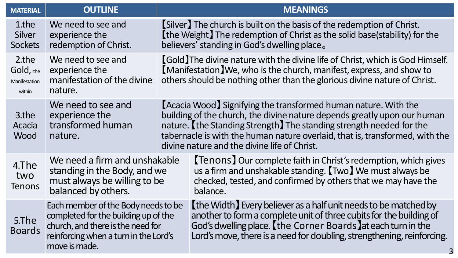| <b>MATERIAL</b>                               | <b>OUTLINE</b>                                                                                                                                                             |                                                                                                                                                                                                                                                                                                                                                     | <b>MEANINGS</b>                                                                                                                                                                                                                                                                    |
|-----------------------------------------------|----------------------------------------------------------------------------------------------------------------------------------------------------------------------------|-----------------------------------------------------------------------------------------------------------------------------------------------------------------------------------------------------------------------------------------------------------------------------------------------------------------------------------------------------|------------------------------------------------------------------------------------------------------------------------------------------------------------------------------------------------------------------------------------------------------------------------------------|
| 1.the<br><b>Silver</b><br><b>Sockets</b>      | We need to see and<br>experience the<br>redemption of Christ.                                                                                                              | [Silver] The church is built on the basis of the redemption of Christ.<br>[the Weight] The redemption of Christ as the solid base(stability) for the<br>believers' standing in God's dwelling place.                                                                                                                                                |                                                                                                                                                                                                                                                                                    |
| 2.the<br>Gold, the<br>Manifestation<br>within | We need to see and<br>experience the<br>manifestation of the divine<br>nature.                                                                                             | <b>[Gold]</b> The divine nature with the divine life of Christ, which is God Himself.<br>[Manifestation] We, who is the church, manifest, express, and show to<br>others should be nothing other than the glorious divine nature of Christ.                                                                                                         |                                                                                                                                                                                                                                                                                    |
| 3.the<br>Acacia<br>Wood                       | We need to see and<br>experience the<br>transformed human<br>nature.                                                                                                       | [Acacia Wood] Signifying the transformed human nature. With the<br>building of the church, the divine nature depends greatly upon our human<br>nature. [the Standing Strength] The standing strength needed for the<br>tabernacle is with the human nature overlaid, that is, transformed, with the<br>divine nature and the divine life of Christ. |                                                                                                                                                                                                                                                                                    |
| 4.The<br>two<br><b>Tenons</b>                 | We need a firm and unshakable<br>standing in the Body, and we<br>must always be willing to be<br>balanced by others.                                                       |                                                                                                                                                                                                                                                                                                                                                     | <b>[Tenons] Our complete faith in Christ's redemption, which gives</b><br>us a firm and unshakable standing. [Two] We must always be<br>checked, tested, and confirmed by others that we may have the<br>balance.                                                                  |
| 5.The<br><b>Boards</b>                        | Each member of the Body needs to be<br>completed for the building up of the<br>church, and there is the need for<br>reinforcing when a turn in the Lord's<br>move is made. |                                                                                                                                                                                                                                                                                                                                                     | [the Width] Every believer as a half unit needs to be matched by<br>another to form a complete unit of three cubits for the building of<br>God's dwelling place. [the Corner Boards] at each turn in the<br>Lord's move, there is a need for doubling, strengthening, reinforcing. |
|                                               |                                                                                                                                                                            |                                                                                                                                                                                                                                                                                                                                                     |                                                                                                                                                                                                                                                                                    |